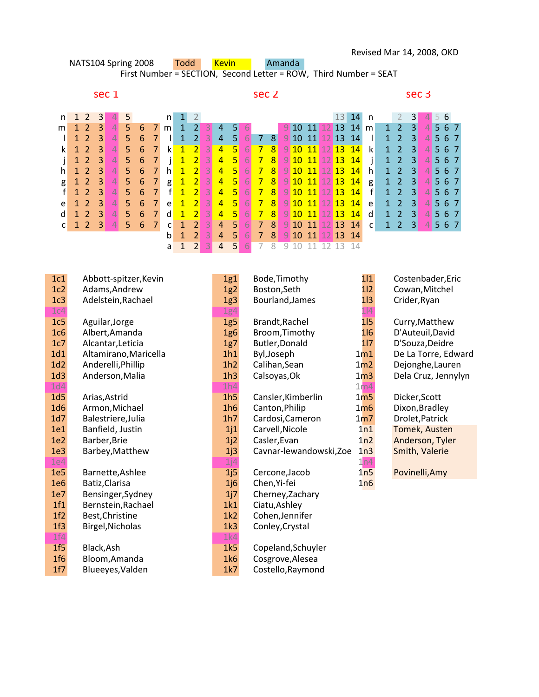| NATS104 Spring 2008 |                                                                  |  |  |       |                   |  |  |  |                           | Todd<br><b>Kevin</b><br>Amanda |  |          |  |  |  |  |                  |  |  |  |  |           |                            |                                 |                         |  |                  |     |  |  |
|---------------------|------------------------------------------------------------------|--|--|-------|-------------------|--|--|--|---------------------------|--------------------------------|--|----------|--|--|--|--|------------------|--|--|--|--|-----------|----------------------------|---------------------------------|-------------------------|--|------------------|-----|--|--|
|                     | First Number = SECTION, Second Letter = ROW, Third Number = SEAT |  |  |       |                   |  |  |  |                           |                                |  |          |  |  |  |  |                  |  |  |  |  |           |                            |                                 |                         |  |                  |     |  |  |
|                     |                                                                  |  |  |       |                   |  |  |  |                           |                                |  |          |  |  |  |  |                  |  |  |  |  |           |                            |                                 |                         |  |                  |     |  |  |
|                     |                                                                  |  |  | sec 1 |                   |  |  |  |                           | sec 2                          |  |          |  |  |  |  |                  |  |  |  |  |           |                            |                                 |                         |  | sec <sub>3</sub> |     |  |  |
|                     |                                                                  |  |  |       |                   |  |  |  |                           |                                |  |          |  |  |  |  |                  |  |  |  |  |           |                            |                                 |                         |  |                  |     |  |  |
|                     |                                                                  |  |  |       | n 1 2 3 4 5       |  |  |  | $n \mid 1 \mid 2$         |                                |  |          |  |  |  |  |                  |  |  |  |  | $13$ 14 n |                            | $2 \quad 3 \blacktriangleright$ |                         |  |                  | 456 |  |  |
|                     |                                                                  |  |  |       | m 1 2 3 4 5 6 7 m |  |  |  |                           |                                |  |          |  |  |  |  |                  |  |  |  |  |           | $9$ 10 11 12 13 14 m 1 2 3 |                                 |                         |  |                  | 567 |  |  |
|                     |                                                                  |  |  |       |                   |  |  |  | $1$ 1 2 3 4 5 6 7 1 1 2 3 |                                |  | $\Delta$ |  |  |  |  | 5678910111121314 |  |  |  |  |           |                            |                                 | 1 2 3 $\triangle$ 5 6 7 |  |                  |     |  |  |

|   |  |  |                 |  |  |  |  |  |  |  |                                    |                                  | 1 <b>1 2</b> 3 4 5 6 7 1 1 2 3 4 5 6 7 8 9 10 11 12 13 14 1 1 2 3 4 5 6 7 |  |  |  |
|---|--|--|-----------------|--|--|--|--|--|--|--|------------------------------------|----------------------------------|---------------------------------------------------------------------------|--|--|--|
|   |  |  | k 1 2 3 4 5 6 7 |  |  |  |  |  |  |  |                                    |                                  |                                                                           |  |  |  |
|   |  |  | i 1 2 3 4 5 6 7 |  |  |  |  |  |  |  |                                    |                                  | j 1 2 3 4 5 6 7 8 9 10 11 12 13 14 j 1 2 3 4 5 6 7                        |  |  |  |
|   |  |  |                 |  |  |  |  |  |  |  |                                    |                                  | h 1 2 3 4 5 6 7 h 1 2 3 4 5 6 7 8 9 10 11 12 13 14 h 1 2 3 4 5 6 7        |  |  |  |
| g |  |  |                 |  |  |  |  |  |  |  |                                    |                                  | 1 2 3 4 5 6 7 g 1 2 3 4 5 6 7 8 9 10 11 12 13 14 g 1 2 3 4 5 6 7          |  |  |  |
|   |  |  |                 |  |  |  |  |  |  |  |                                    |                                  | f 1 2 3 4 5 6 7 f 1 2 3 4 5 6 7 8 9 10 11 12 13 14 f 1 2 3 4 5 6 7        |  |  |  |
|   |  |  |                 |  |  |  |  |  |  |  |                                    |                                  | e 1 2 3 4 5 6 7 e 1 2 3 4 5 6 7 8 9 10 11 12 13 14 e 1 2 3 4 5 6 7        |  |  |  |
|   |  |  |                 |  |  |  |  |  |  |  |                                    |                                  | d 1 2 3 4 5 6 7 d 1 2 3 4 5 6 7 8 9 10 11 12 13 14 d 1 2 3 4 5 6 7        |  |  |  |
|   |  |  |                 |  |  |  |  |  |  |  |                                    |                                  | c 1 2 3 4 5 6 7 c 1 2 3 4 5 6 7 8 9 10 11 12 13 14 c 1 2 3 4 5 6 7        |  |  |  |
|   |  |  |                 |  |  |  |  |  |  |  |                                    | 1 2 3 4 5 6 7 8 9 10 11 12 13 14 |                                                                           |  |  |  |
|   |  |  |                 |  |  |  |  |  |  |  | a 1 2 3 4 5 6 7 8 9 10 11 12 13 14 |                                  |                                                                           |  |  |  |

| 1c1             | Abbott-spitzer, Kevin | 1g1             | Bode, Timothy           | 111             | Costenbader, Eric    |
|-----------------|-----------------------|-----------------|-------------------------|-----------------|----------------------|
| 1c2             | Adams, Andrew         | 1g2             | Boston, Seth            | 112             | Cowan, Mitchel       |
| 1c3             | Adelstein, Rachael    | 1g <sub>3</sub> | Bourland, James         | 113             | Crider, Ryan         |
| 1c4             |                       | 1g4             |                         | 1 4             |                      |
| 1c5             | Aguilar, Jorge        | 1g5             | Brandt, Rachel          | 115             | Curry, Matthew       |
| 1c6             | Albert, Amanda        | 1g6             | Broom, Timothy          | 1 6             | D'Auteuil, David     |
| 1c7             | Alcantar, Leticia     | 1g7             | Butler, Donald          | 117             | D'Souza, Deidre      |
| 1d1             | Altamirano, Maricella | 1h1             | Byl, Joseph             | 1 <sub>m1</sub> | De La Torre, Edward  |
| 1d2             | Anderelli, Phillip    | 1h2             | Calihan, Sean           | 1 <sub>m2</sub> | Dejonghe, Lauren     |
| 1d3             | Anderson, Malia       | 1h3             | Calsoyas, Ok            | 1 <sub>m3</sub> | Dela Cruz, Jennylyn  |
| 1d4             |                       | 1h4             |                         | 1 <sub>m4</sub> |                      |
| 1d5             | Arias, Astrid         | 1h5             | Cansler, Kimberlin      | 1 <sub>m5</sub> | Dicker, Scott        |
| 1d6             | Armon, Michael        | 1h6             | Canton, Philip          | 1 <sub>m6</sub> | Dixon, Bradley       |
| 1d7             | Balestriere, Julia    | 1h7             | Cardosi, Cameron        | 1 <sub>m7</sub> | Drolet, Patrick      |
| 1e1             | Banfield, Justin      | 1j1             | Carvell, Nicole         | 1n1             | <b>Tomek, Austen</b> |
| 1e <sub>2</sub> | Barber, Brie          | 1j2             | Casler, Evan            | 1n <sub>2</sub> | Anderson, Tyler      |
| 1e <sub>3</sub> | Barbey, Matthew       | 1j3             | Cavnar-lewandowski, Zoe | 1n3             | Smith, Valerie       |
| 1e4             |                       | 1j4             |                         | 1n4             |                      |
| 1e <sub>5</sub> | Barnette, Ashlee      | 1j5             | Cercone, Jacob          | 1n5             | Povinelli, Amy       |
| 1e6             | Batiz, Clarisa        | 1j6             | Chen, Yi-fei            | 1n6             |                      |
| 1e7             | Bensinger, Sydney     | 1j7             | Cherney, Zachary        |                 |                      |
| 1f1             | Bernstein, Rachael    | 1k1             | Ciatu, Ashley           |                 |                      |
| 1f2             | Best, Christine       | 1k2             | Cohen, Jennifer         |                 |                      |
| 1f3             | Birgel, Nicholas      | 1k3             | Conley, Crystal         |                 |                      |
| 1f4             |                       | 1k4             |                         |                 |                      |
| 1f5             | Black, Ash            | 1k5             | Copeland, Schuyler      |                 |                      |
| 1f6             | Bloom, Amanda         | 1k6             | Cosgrove, Alesea        |                 |                      |
| 1f7             | Blueeyes, Valden      | 1k7             | Costello, Raymond       |                 |                      |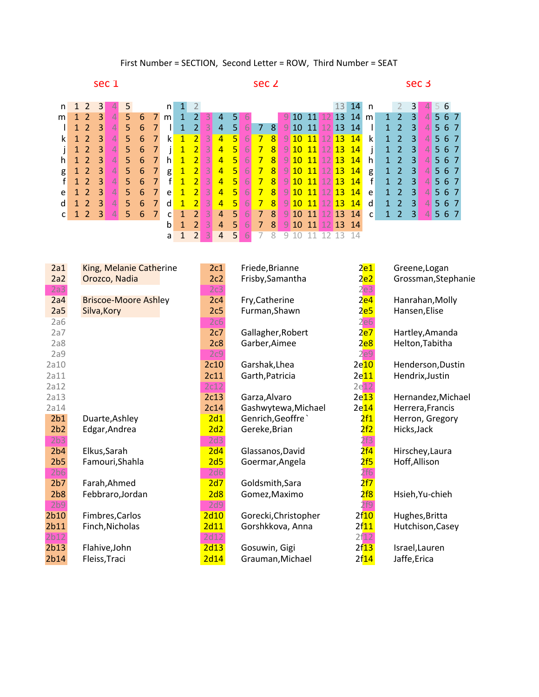sec 1 sec 2 sec 3

| n | 1 2                 | 3 |                 |    |    |              | n   |                |                |                   |                |                |    |                 |                         |               |  | 13               |                  |              |              |                |                        |                                      |         |  |
|---|---------------------|---|-----------------|----|----|--------------|-----|----------------|----------------|-------------------|----------------|----------------|----|-----------------|-------------------------|---------------|--|------------------|------------------|--------------|--------------|----------------|------------------------|--------------------------------------|---------|--|
| m | 1 2                 | 3 |                 | 5. | 6  | <sup>7</sup> | m   | 1              | 2 <sup>1</sup> |                   | 4              | 51             | 6  |                 |                         |               |  |                  | 9 10 11 12 13 14 | m            | 1            | 2              | $\vert 3 \vert$        |                                      | 4 5 6 7 |  |
|   |                     | 3 | 4               | 5  | 6  |              |     |                | $\overline{2}$ |                   | 4              | 51             | 61 | $\sim$ 7 $\sim$ | <b>81</b>               | 9 10 11 12 13 |  |                  | <sup>14</sup>    |              | 1.           | $\mathcal{P}$  | $\vert 3 \vert$        | $\overline{4}$                       | 567     |  |
| k | $\mathbf{R}$        | 3 | 4               | 5  | 6  | 7            | k.  | $\blacksquare$ | $\vert$ 2      | $\vert 3 \vert$   | $\overline{4}$ | 5 <sup>1</sup> | 6  | $\overline{7}$  | 8 <sup>1</sup>          | 9 10 11 12 13 |  |                  | $\overline{14}$  | k            | $\mathbf{1}$ | $\overline{2}$ | $\vert 3 \vert$        | $\vert$                              | 567     |  |
|   | $\mathbf{C}$        | 3 | $\vert 4 \vert$ | 5. | 6  | 7            |     | $\mathbf{1}$   | $\overline{2}$ | 3                 | $\overline{4}$ | 5 <sup>1</sup> | 6  | 7               | $\lvert 8 \rvert$       |               |  | 9 10 11 12 13    | $\overline{14}$  |              | $\mathbf{1}$ | 2              | $\vert 3 \vert$        | $\vert A \vert$                      | 567     |  |
| h | -2                  | 3 | 4               | 5. | 6  |              | h.  | $\mathbf{1}$   | $\vert$ 2      | $\lvert 3 \rvert$ | $\overline{4}$ | 5 <sup>1</sup> | 6. | 7               | <b>8.</b>               |               |  | 9 10 11 12 13    | $\sqrt{14}$      | h            | $\mathbf{1}$ | $\mathcal{P}$  | $\vert 3 \vert$        | $\blacktriangle \blacktriangleright$ | 567     |  |
| g | $1 \quad 2 \quad 3$ |   | $\vert$         | 5. | 6  | 7            | g   | $\mathbf{1}$   |                | 23                | $\overline{4}$ | <b>V5L</b>     | 6  | $7^{\circ}$     | 8 <sup>°</sup>          |               |  |                  | 9 10 11 12 13 14 | g            | $1 -$        | <sup>2</sup>   | $\blacktriangleleft$ 3 | $\vert 4 \vert$                      | 567     |  |
| f | $\rightarrow$       | 3 | $\vert$         | 5. | -6 | 7            | f   | $\mathbf{1}$   | $\overline{2}$ | $\lceil 3 \rceil$ | $\overline{4}$ | <b>5)</b>      | 6  | $\overline{7}$  | 8                       |               |  | 9 10 11 12 13    | $\sqrt{14}$      | f            | 1            | $\overline{2}$ | $\vert 3 \vert$        | $\vert$                              | 567     |  |
| e | $\mathcal{L}$       | 3 |                 | 5  | 6  | 7            | e   | 1              | $\overline{2}$ | $\lvert 3 \rvert$ | $\overline{4}$ | 5 <sup>1</sup> | 6  | 7               | 8 <sup>1</sup>          |               |  |                  | 9 10 11 12 13 14 | e            | 1            | 2              | 3                      | $\vert A \vert$                      | 567     |  |
| d | $\mathcal{L}$       | 3 | 4               | 5  | 6  | 7            | d l | $\mathbf{1}$   | $\overline{2}$ | 3                 | $\overline{4}$ | 5 <sup>1</sup> | 6. | $\overline{7}$  | $\overline{\mathbf{8}}$ |               |  | 9 10 11 12 13    | $\sqrt{14}$      | d            | $1 -$        | $\mathcal{P}$  | $\vert 3 \vert$        | $\vert$                              | 567     |  |
| C | 123                 |   | $\overline{4}$  | 5. | 6  |              | C   |                |                | $2 \mid 3 \mid$   | $\overline{4}$ | 5 <sup>1</sup> | 6  | $\blacksquare$  | 8 <sup>1</sup>          |               |  |                  | 9 10 11 12 13 14 | $\mathsf{C}$ |              | $1\quad 2$     | $\blacktriangleleft$   | $\vert$                              | 567     |  |
|   |                     |   |                 |    |    |              | b   |                | 2 <sup>1</sup> |                   | $\overline{4}$ | 51             | 6  | 7               | 8 <sup>1</sup>          |               |  | 9 10 11 12 13 14 |                  |              |              |                |                        |                                      |         |  |
|   |                     |   |                 |    |    |              | a   |                |                |                   | $\overline{4}$ | 51             |    |                 |                         |               |  |                  |                  |              |              |                |                        |                                      |         |  |

| King, Melanie Catherine     |                                                                                                                                                              | Friede, Brianne                                                                                             |                                                                                                                                                                           | Greene, Logan                                                                                                                                                          |
|-----------------------------|--------------------------------------------------------------------------------------------------------------------------------------------------------------|-------------------------------------------------------------------------------------------------------------|---------------------------------------------------------------------------------------------------------------------------------------------------------------------------|------------------------------------------------------------------------------------------------------------------------------------------------------------------------|
| Orozco, Nadia               | 2c2                                                                                                                                                          | Frisby, Samantha                                                                                            | <u>2e2 </u>                                                                                                                                                               | Grossman, Stephanie                                                                                                                                                    |
|                             | 2c3                                                                                                                                                          |                                                                                                             | 2e3                                                                                                                                                                       |                                                                                                                                                                        |
| <b>Briscoe-Moore Ashley</b> | 2c4                                                                                                                                                          | Fry, Catherine                                                                                              | <mark>2e4</mark>                                                                                                                                                          | Hanrahan, Molly                                                                                                                                                        |
| Silva, Kory                 | 2c5                                                                                                                                                          | Furman, Shawn                                                                                               | 2 <sub>e5</sub>                                                                                                                                                           | Hansen, Elise                                                                                                                                                          |
|                             | 2c6                                                                                                                                                          |                                                                                                             | 2e6                                                                                                                                                                       |                                                                                                                                                                        |
|                             | 2c7                                                                                                                                                          | Gallagher, Robert                                                                                           | 2 <mark>e7</mark>                                                                                                                                                         | Hartley, Amanda                                                                                                                                                        |
|                             | 2c8                                                                                                                                                          | Garber, Aimee                                                                                               | <mark>2e8</mark>                                                                                                                                                          | Helton, Tabitha                                                                                                                                                        |
|                             | 2c9                                                                                                                                                          |                                                                                                             | 2e9                                                                                                                                                                       |                                                                                                                                                                        |
|                             | 2c10                                                                                                                                                         | Garshak, Lhea                                                                                               | 2e <sub>10</sub>                                                                                                                                                          | Henderson, Dustin                                                                                                                                                      |
|                             | 2c11                                                                                                                                                         | Garth, Patricia                                                                                             | 2e11                                                                                                                                                                      | Hendrix, Justin                                                                                                                                                        |
|                             | 2c12                                                                                                                                                         |                                                                                                             |                                                                                                                                                                           |                                                                                                                                                                        |
|                             | 2c13                                                                                                                                                         | Garza, Alvaro                                                                                               | 2e13                                                                                                                                                                      | Hernandez, Michael                                                                                                                                                     |
|                             |                                                                                                                                                              | Gashwytewa, Michael                                                                                         | 2e14                                                                                                                                                                      | Herrera, Francis                                                                                                                                                       |
| Duarte, Ashley              | 2d1                                                                                                                                                          | Genrich, Geoffre                                                                                            | <mark>2f1</mark>                                                                                                                                                          | Herron, Gregory                                                                                                                                                        |
|                             |                                                                                                                                                              |                                                                                                             |                                                                                                                                                                           | Hicks, Jack                                                                                                                                                            |
|                             |                                                                                                                                                              |                                                                                                             |                                                                                                                                                                           |                                                                                                                                                                        |
|                             |                                                                                                                                                              |                                                                                                             |                                                                                                                                                                           | Hirschey, Laura                                                                                                                                                        |
|                             |                                                                                                                                                              |                                                                                                             |                                                                                                                                                                           | Hoff, Allison                                                                                                                                                          |
|                             |                                                                                                                                                              |                                                                                                             |                                                                                                                                                                           |                                                                                                                                                                        |
|                             |                                                                                                                                                              |                                                                                                             |                                                                                                                                                                           |                                                                                                                                                                        |
|                             |                                                                                                                                                              |                                                                                                             |                                                                                                                                                                           | Hsieh, Yu-chieh                                                                                                                                                        |
|                             |                                                                                                                                                              |                                                                                                             |                                                                                                                                                                           |                                                                                                                                                                        |
|                             |                                                                                                                                                              |                                                                                                             |                                                                                                                                                                           | Hughes, Britta                                                                                                                                                         |
|                             |                                                                                                                                                              |                                                                                                             |                                                                                                                                                                           | Hutchison, Casey                                                                                                                                                       |
|                             |                                                                                                                                                              |                                                                                                             |                                                                                                                                                                           |                                                                                                                                                                        |
|                             |                                                                                                                                                              |                                                                                                             |                                                                                                                                                                           | Israel, Lauren                                                                                                                                                         |
|                             |                                                                                                                                                              |                                                                                                             |                                                                                                                                                                           | Jaffe,Erica                                                                                                                                                            |
|                             | Edgar, Andrea<br>Elkus, Sarah<br>Famouri, Shahla<br>Farah, Ahmed<br>Febbraro, Jordan<br>Fimbres, Carlos<br>Finch, Nicholas<br>Flahive, John<br>Fleiss, Traci | 2c1<br>2c14<br>2d2<br>2d3<br>2d4<br>2d5<br>2d6<br>2d7<br>2d8<br>2d9<br>2d10<br>2d11<br>2d12<br>2d13<br>2d14 | Gereke, Brian<br>Glassanos, David<br>Goermar, Angela<br>Goldsmith, Sara<br>Gomez, Maximo<br>Gorecki, Christopher<br>Gorshkkova, Anna<br>Gosuwin, Gigi<br>Grauman, Michael | <u>2e1</u><br>2e12<br><mark>2f2</mark><br>2f3<br><mark>2f4</mark><br><mark>2f5</mark><br>2f6<br>2f7<br><mark>2f8</mark><br>2f9<br>2f10<br>2f11<br>2f12<br>2f13<br>2f14 |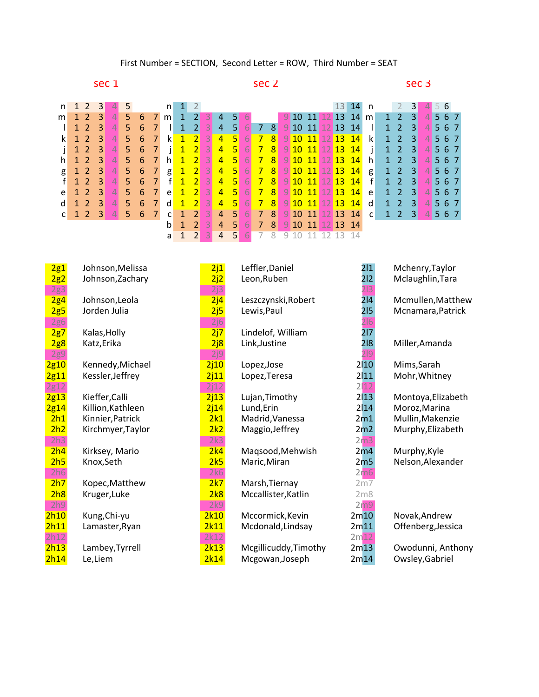sec 1 sec 2 sec 3

| n | 1 2            | 3  |                  |    |   |                | n l          |              |                |                   |                |                |    |                      |                   |                 |  | 13               | 14               |              |              |                     |                 |                           |     |
|---|----------------|----|------------------|----|---|----------------|--------------|--------------|----------------|-------------------|----------------|----------------|----|----------------------|-------------------|-----------------|--|------------------|------------------|--------------|--------------|---------------------|-----------------|---------------------------|-----|
| m | $\overline{2}$ | 3  |                  | 5. | 6 |                | m            | 1            | 2 <sup>1</sup> |                   |                |                | 6  |                      |                   |                 |  | 9 10 11 12 13    | -14              | m            | $1 -$        | 2                   | $\vert 3 \vert$ | $\mathbf{A}$              | 567 |
|   |                | 3  |                  | 5  | 6 |                |              |              | $\overline{2}$ |                   | 4              | -51            | 6  |                      | <b>7</b> 8        | $9$ 10 11 12 13 |  |                  | $\overline{14}$  |              | $\mathbf{1}$ | 2                   | 3               |                           | 567 |
| k | $1\quad2$      | 3  | 4T               | 5  | 6 | 7              | k            | $\mathbf{1}$ | $\vert$ 2      | $\mathbf{B}$      | $\overline{4}$ | 5 <sup>1</sup> | 67 | $\overline{7}$       | $\lvert 8 \rvert$ |                 |  | 9 10 11 12 13    | $\sqrt{14}$      | k            | 1            | 2                   | $\vert 3 \vert$ | $\overline{4}$            | 567 |
|   | $\overline{2}$ | 3  | $\left 4\right $ | 5. | 6 | 7              | $\mathbf{I}$ | $\mathbf{1}$ | $\overline{2}$ | 3                 | $\overline{4}$ | 5 <sup>1</sup> | 6  | $7^{\circ}$          | 8 <sup>°</sup>    | 9 10 11 12 13   |  |                  | $\sqrt{14}$      |              | $\mathbf{1}$ | 2                   | $\vert 3 \vert$ | $\overline{4}$            | 567 |
| h | $\mathbf{C}$   | 3  | 4                | 5  | 6 |                | h.           | 1            | $\overline{2}$ | $\lvert 3 \rvert$ | $\overline{4}$ | 5 <sup>1</sup> | 6  | $\overline{7}$       | 8 <sup>1</sup>    | 9 10 11 12 13   |  |                  | $\sqrt{14}$      | h.           | $\mathbf{1}$ | 2                   | $\vert 3 \vert$ |                           | 567 |
| g | 123            |    | $\vert$          | 5. | 6 | 7              | g            | $\mathbf{1}$ |                | 23                | $\overline{4}$ | <b>45</b>      | 6  |                      | 78                |                 |  |                  | 9 10 11 12 13 14 | g            | 1            | 2                   | $\vert 3 \vert$ | $\vert$                   | 567 |
| f | $\mathbf{P}$   | -3 | $\overline{4}$   | 5. | 6 | $\overline{7}$ | f            | $\mathbf{1}$ |                | $2 \mid 3 \mid$   | $\overline{4}$ | 5 <sup>1</sup> | 6  | $\overline{7}$       | $\lvert 8 \rvert$ |                 |  |                  | 9 10 11 12 13 14 | f            | $\mathbf{1}$ | 2                   | $\vert 3 \vert$ | $\vert$                   | 567 |
| e | $\mathcal{L}$  | 3  |                  | 5  | 6 |                | e            | $\mathbf{1}$ | $\overline{2}$ | $\lceil 3 \rceil$ | $\overline{4}$ | 5 <sup>1</sup> | 6  | $\overline{7}$       | $\sqrt{8}$        | 9 10 11 12 13   |  |                  | $\sqrt{14}$      | e            | $\mathbf{1}$ | 2                   | $\vert 3 \vert$ | $\vert$                   | 567 |
| d | $\mathcal{P}$  | 3  | 4                | 5  | 6 | 7              | <sub>d</sub> | $\mathbf{1}$ | $\overline{2}$ | $\lvert 3 \rvert$ | $\overline{4}$ | 5 <sup>1</sup> | 6  | $\blacktriangle$     | 8                 | 9 10 11 12 13   |  |                  | $\sqrt{14}$      | d            | 1            | $\overline{2}$      | $\vert 3 \vert$ | $\mathbf{A}^{\mathbf{r}}$ | 567 |
| C | 123            |    | $\overline{4}$   | 5. | 6 |                | $\mathsf{C}$ |              | 2 <sup>1</sup> | -3                | $\overline{4}$ | 5 <sup>1</sup> | 6  | $\blacktriangledown$ | 8                 |                 |  |                  | 9 10 11 12 13 14 | $\mathsf{C}$ |              | $1 \quad 2 \quad 3$ |                 | $\vert$                   | 567 |
|   |                |    |                  |    |   |                | b            |              | 2 <sup>1</sup> |                   | $\overline{4}$ | 51             | -6 | 7                    | 8                 |                 |  | 9 10 11 12 13 14 |                  |              |              |                     |                 |                           |     |
|   |                |    |                  |    |   |                | a            |              |                |                   | $\overline{4}$ | -51            |    |                      |                   |                 |  |                  |                  |              |              |                     |                 |                           |     |

| 2g1        | Johnson, Melissa  | 2j1  | Leffler, Daniel       | 2 1             | Mchenry, Taylor    |
|------------|-------------------|------|-----------------------|-----------------|--------------------|
| 2g2        | Johnson, Zachary  | 2j2  | Leon, Ruben           | 2 2             | Mclaughlin, Tara   |
| 2g3        |                   | 2j3  |                       | 213             |                    |
| 2g4        | Johnson, Leola    | 2j4  | Leszczynski, Robert   | 2 4             | Mcmullen, Matthew  |
| 2g5        | Jorden Julia      | 2j5  | Lewis, Paul           | 215             | Mcnamara, Patrick  |
| <b>2g6</b> |                   | 2j6  |                       | 2 6             |                    |
| 2g7        | Kalas, Holly      | 2j7  | Lindelof, William     | 217             |                    |
| 2g8        | Katz, Erika       | 2j8  | Link, Justine         | 218             | Miller, Amanda     |
| <b>2g9</b> |                   | 2j9  |                       | 219             |                    |
| 2g10       | Kennedy, Michael  | 2j10 | Lopez, Jose           | 2 10            | Mims, Sarah        |
| 2g11       | Kessler, Jeffrey  | 2j11 | Lopez, Teresa         | 2 11            | Mohr, Whitney      |
| 2g12       |                   | 2j12 |                       | 2 12            |                    |
| 2g13       | Kieffer, Calli    | 2j13 | Lujan, Timothy        | 2 13            | Montoya, Elizabeth |
| 2g14       | Killion, Kathleen | 2j14 | Lund, Erin            | 2 14            | Moroz, Marina      |
| 2h1        | Kinnier, Patrick  | 2k1  | Madrid, Vanessa       | 2m1             | Mullin, Makenzie   |
| 2h2        | Kirchmyer, Taylor | 2k2  | Maggio, Jeffrey       | 2m2             | Murphy, Elizabeth  |
| 2h3        |                   | 2k3  |                       | 2 <sub>m3</sub> |                    |
| 2h4        | Kirksey, Mario    | 2k4  | Maqsood, Mehwish      | 2m4             | Murphy, Kyle       |
| 2h5        | Knox, Seth        | 2k5  | Maric, Miran          | 2m <sub>5</sub> | Nelson, Alexander  |
| 2h6        |                   | 2k6  |                       | 2m6             |                    |
| 2h7        | Kopec, Matthew    | 2k7  | Marsh, Tiernay        | 2m7             |                    |
| 2h8        | Kruger, Luke      | 2k8  | Mccallister, Katlin   | 2 <sub>m8</sub> |                    |
| 2h9        |                   | 2k9  |                       | 2m9             |                    |
| 2h10       | Kung, Chi-yu      | 2k10 | Mccormick, Kevin      | 2m10            | Novak, Andrew      |
| 2h11       | Lamaster, Ryan    | 2k11 | Mcdonald, Lindsay     | 2m11            | Offenberg, Jessica |
| 2h12       |                   | 2k12 |                       | 2m12            |                    |
| 2h13       | Lambey, Tyrrell   | 2k13 | Mcgillicuddy, Timothy | 2m13            | Owodunni, Anthony  |
| 2h14       | Le,Liem           | 2k14 | Mcgowan, Joseph       | 2m14            | Owsley, Gabriel    |